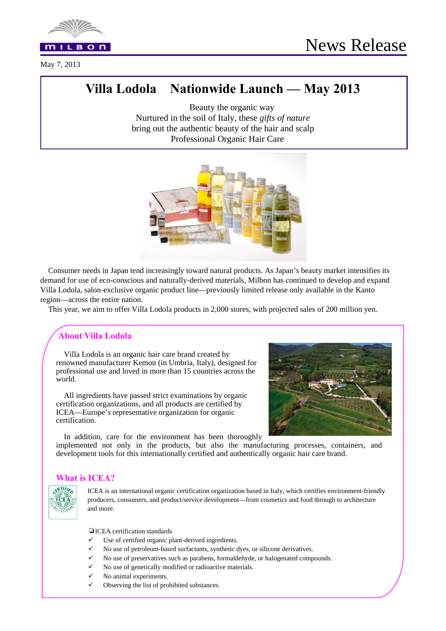

May 7, 2013

# **Villa Lodola Nationwide Launch — May 2013**

Beauty the organic way Nurtured in the soil of Italy, these *gifts of nature*  bring out the authentic beauty of the hair and scalp Professional Organic Hair Care



 Consumer needs in Japan tend increasingly toward natural products. As Japan's beauty market intensifies its demand for use of eco-conscious and naturally-derived materials, Milbon has continued to develop and expand Villa Lodola, salon-exclusive organic product line—previously limited release only available in the Kanto region—across the entire nation.

This year, we aim to offer Villa Lodola products in 2,000 stores, with projected sales of 200 million yen.

## **About Villa Lodola**

 Villa Lodola is an organic hair care brand created by renowned manufacturer Kemon (in Umbria, Italy), designed for professional use and loved in more than 15 countries across the world.

 All ingredients have passed strict examinations by organic certification organizations, and all products are certified by ICEA—Europe's representative organization for organic certification.

In addition, care for the environment has been thoroughly



implemented not only in the products, but also the manufacturing processes, containers, and development tools for this internationally certified and authentically organic hair care brand.

#### **What is ICEA?**

ERTIFIE

ICEA is an international organic certification organization based in Italy, which certifies environment-friendly producers, consumers, and product/service development—from cosmetics and food through to architecture and more.

❏ ICEA certification standards

- Use of certified organic plant-derived ingredients.
- No use of petroleum-based surfactants, synthetic dyes, or silicone derivatives.
- No use of preservatives such as parabens, formaldehyde, or halogenated compounds.
- No use of genetically modified or radioactive materials.
- No animal experiments.
- Observing the list of prohibited substances.